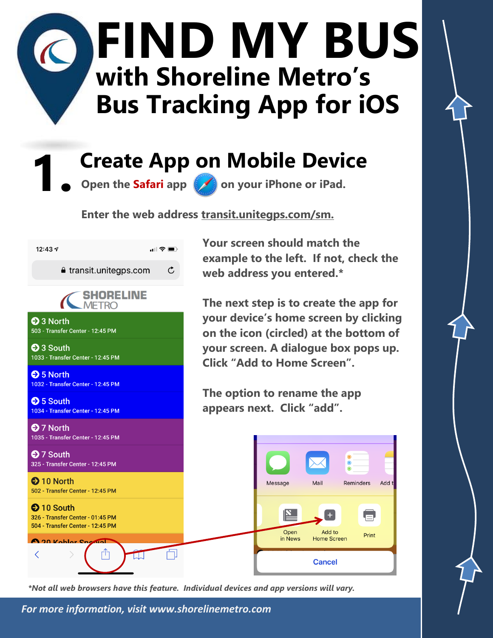## **FIND MY BUS with Shoreline Metro's Bus Tracking App for iOS**

## **1. Create App on Mobile Device**

**Open the Safari** app **on your iPhone or iPad.** 

**Enter the web address transit.unitegps.com/sm.**



**Your screen should match the example to the left. If not, check the web address you entered.\***

**The next step is to create the app for your device's home screen by clicking on the icon (circled) at the bottom of your screen. A dialogue box pops up. Click "Add to Home Screen".** 

**The option to rename the app appears next. Click "add".**



*\*Not all web browsers have this feature. Individual devices and app versions will vary.*

*For more information, visit www.shorelinemetro.com*